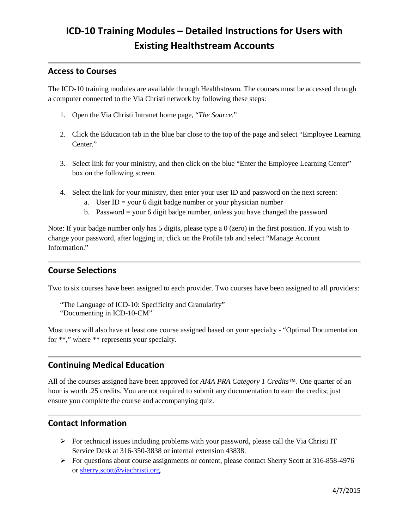# **ICD-10 Training Modules – Detailed Instructions for Users with Existing Healthstream Accounts**

## **Access to Courses**

The ICD-10 training modules are available through Healthstream. The courses must be accessed through a computer connected to the Via Christi network by following these steps:

- 1. Open the Via Christi Intranet home page, "*The Source*."
- 2. Click the Education tab in the blue bar close to the top of the page and select "Employee Learning Center."
- 3. Select link for your ministry, and then click on the blue "Enter the Employee Learning Center" box on the following screen.
- 4. Select the link for your ministry, then enter your user ID and password on the next screen:
	- a. User  $ID =$  your 6 digit badge number or your physician number
	- b. Password = your 6 digit badge number, unless you have changed the password

Note: If your badge number only has 5 digits, please type a 0 (zero) in the first position. If you wish to change your password, after logging in, click on the Profile tab and select "Manage Account Information."

#### **Course Selections**

Two to six courses have been assigned to each provider. Two courses have been assigned to all providers:

```
"The Language of ICD-10: Specificity and Granularity"
"Documenting in ICD-10-CM"
```
Most users will also have at least one course assigned based on your specialty - "Optimal Documentation for \*\*," where \*\* represents your specialty.

# **Continuing Medical Education**

All of the courses assigned have been approved for *AMA PRA Category 1 Credits*™. One quarter of an hour is worth .25 credits. You are not required to submit any documentation to earn the credits; just ensure you complete the course and accompanying quiz.

## **Contact Information**

- $\triangleright$  For technical issues including problems with your password, please call the Via Christi IT Service Desk at 316-350-3838 or internal extension 43838.
- $\triangleright$  For questions about course assignments or content, please contact Sherry Scott at 316-858-4976 or [sherry.scott@viachristi.org.](mailto:sherry.scott@viachristi.org)